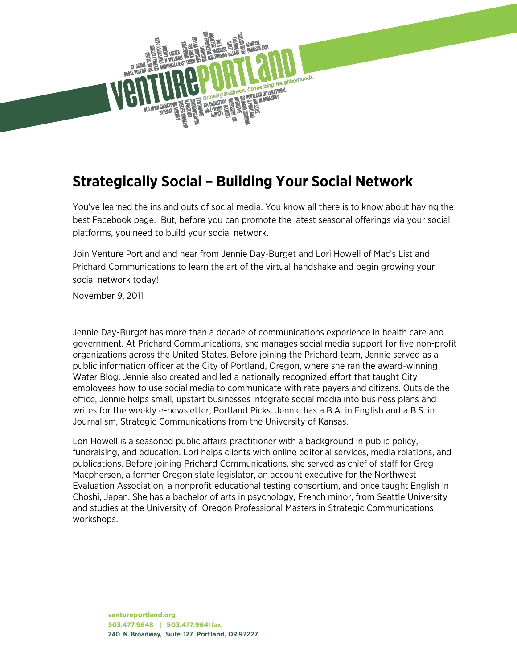

#### **Strategically Social – Building Your Social Network**

You've learned the ins and outs of social media. You know all there is to know about having the best Facebook page. But, before you can promote the latest seasonal offerings via your social platforms, you need to build your social network.

Join Venture Portland and hear from Jennie Day-Burget and Lori Howell of Mac's List and Prichard Communications to learn the art of the virtual handshake and begin growing your social network today!

November 9, 2011

Jennie Day-Burget has more than a decade of communications experience in health care and government. At Prichard Communications, she manages social media support for five non-profit organizations across the United States. Before joining the Prichard team, Jennie served as a public information officer at the City of Portland, Oregon, where she ran the award-winning Water Blog. Jennie also created and led a nationally recognized effort that taught City employees how to use social media to communicate with rate payers and citizens. Outside the office, Jennie helps small, upstart businesses integrate social media into business plans and writes for the weekly e-newsletter, Portland Picks. Jennie has a B.A. in English and a B.S. in Journalism, Strategic Communications from the University of Kansas.

Lori Howell is a seasoned public affairs practitioner with a background in public policy, fundraising, and education. Lori helps clients with online editorial services, media relations, and publications. Before joining Prichard Communications, she served as chief of staff for Greg Macpherson, a former Oregon state legislator, an account executive for the Northwest Evaluation Association, a nonprofit educational testing consortium, and once taught English in Choshi, Japan. She has a bachelor of arts in psychology, French minor, from Seattle University and studies at the University of Oregon Professional Masters in Strategic Communications workshops.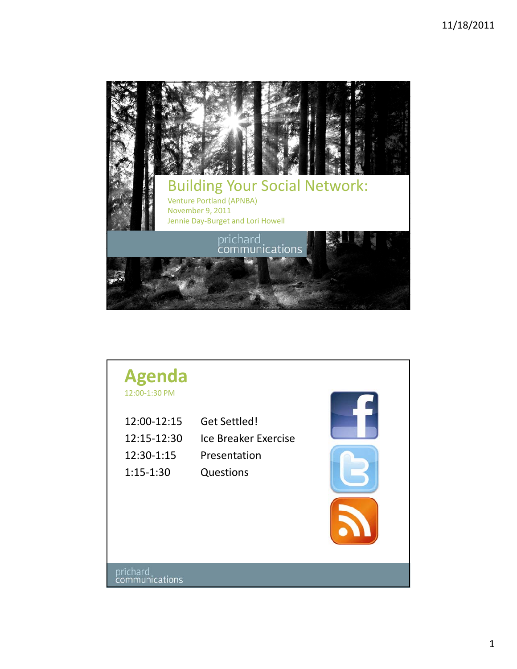

### **Agenda**

12:00‐1:30 PM

| 12:00-12:15 | Get Settled!         |
|-------------|----------------------|
| 12:15-12:30 | Ice Breaker Exercise |
| 12:30-1:15  | Presentation         |
| 1:15-1:30   | <b>Questions</b>     |

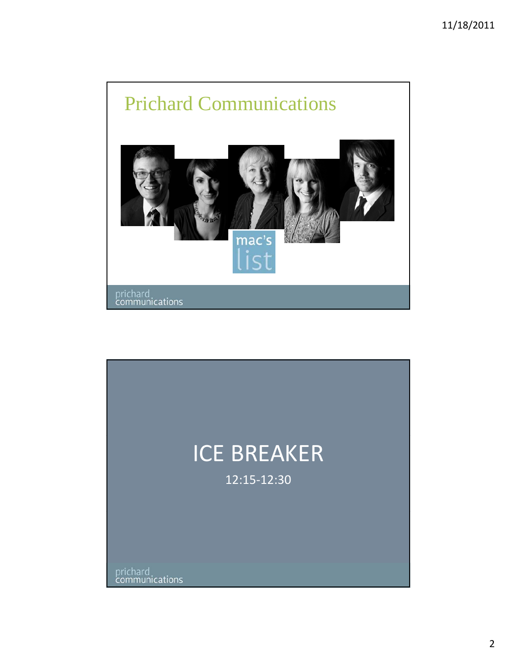

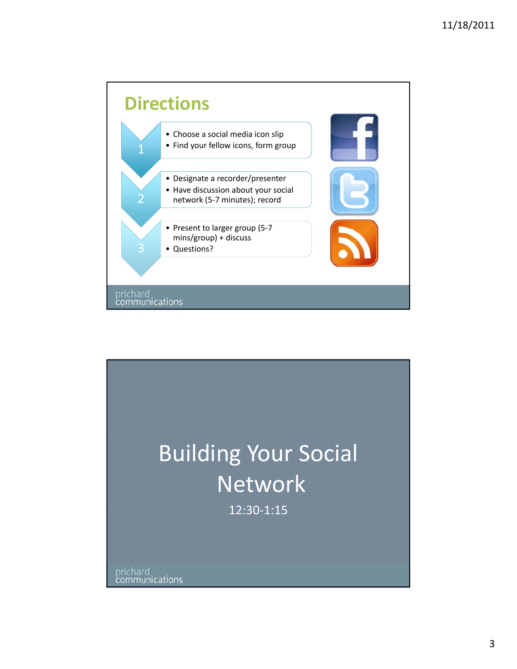

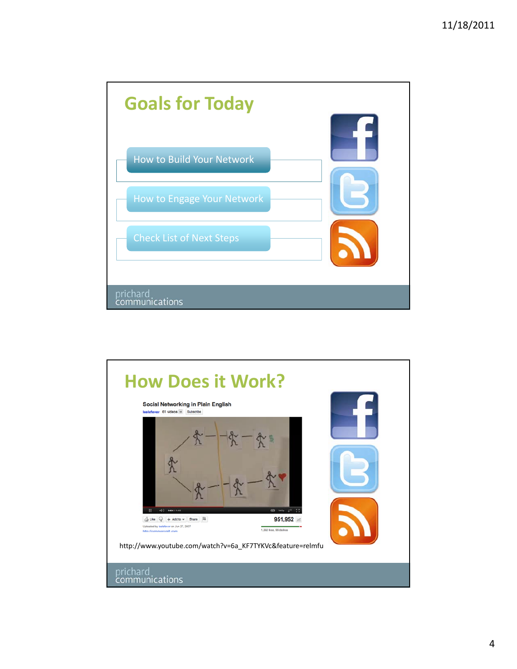

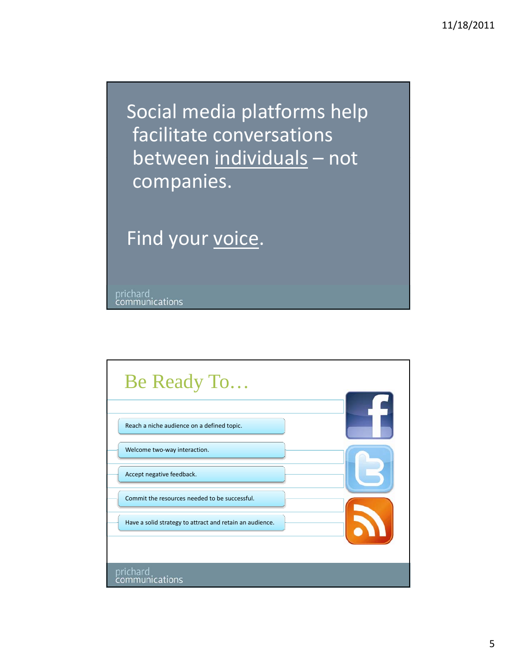Social media platforms help facilitate conversations between individuals – not companies.

Find your voice.

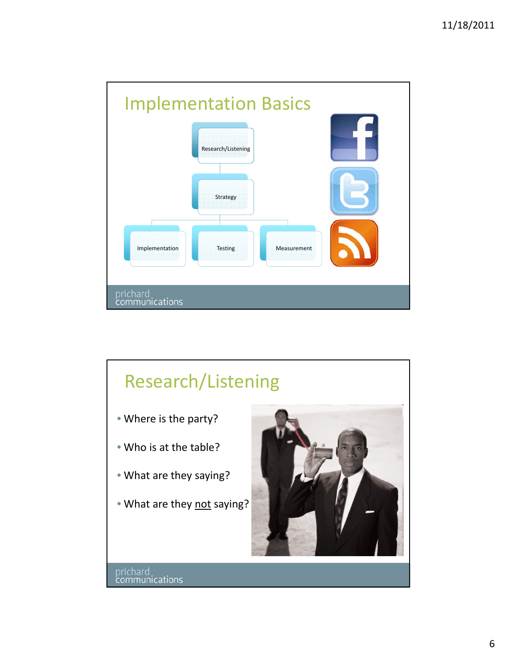

## Research/Listening • Where is the party? • Who is at the table? • What are they saying? • What are they not saying? prichard<br>communications

6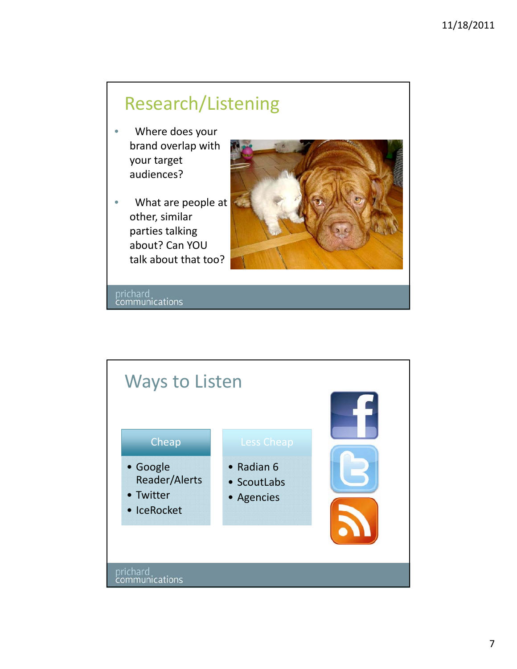#### Research/Listening

- Where does your brand overlap with your target audiences?
- What are people at other, similar parties talking about? Can YOU talk about that too?



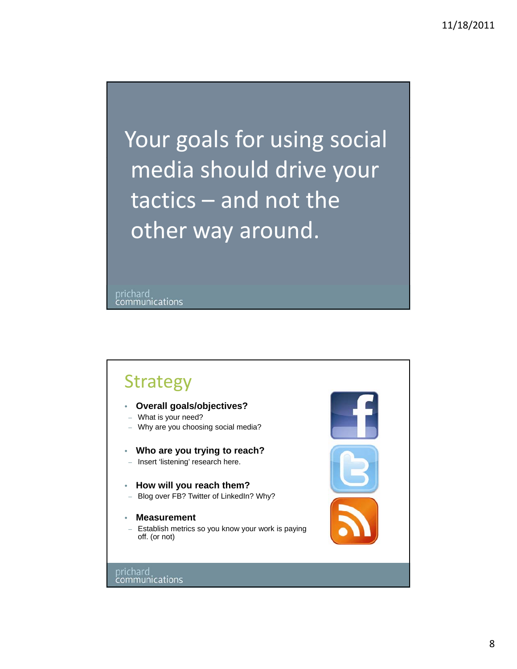Your goals for using social media should drive your tactics – and not the other way around.

prichard<br>communications

#### Strategy

- **Overall goals/objectives?**
- What is your need?
- Why are you choosing social media?
- **Who are you trying to reach?**
- Insert 'listening' research here.
- **How will you reach them?**
- Blog over FB? Twitter of LinkedIn? Why?
- **Measurement**
- Establish metrics so you know your work is paying off. (or not)

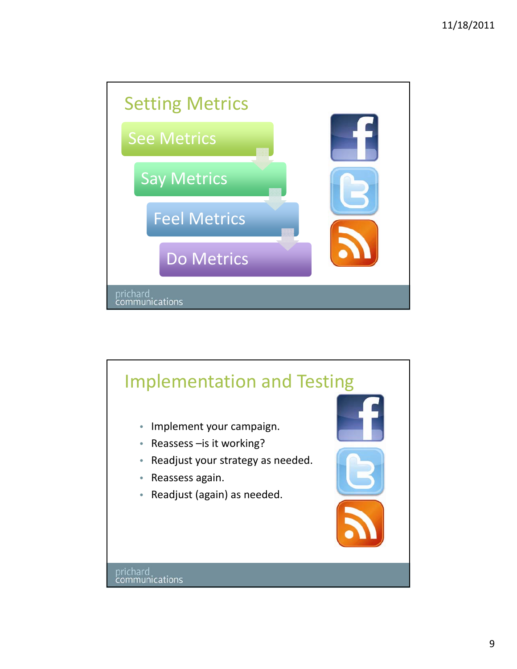

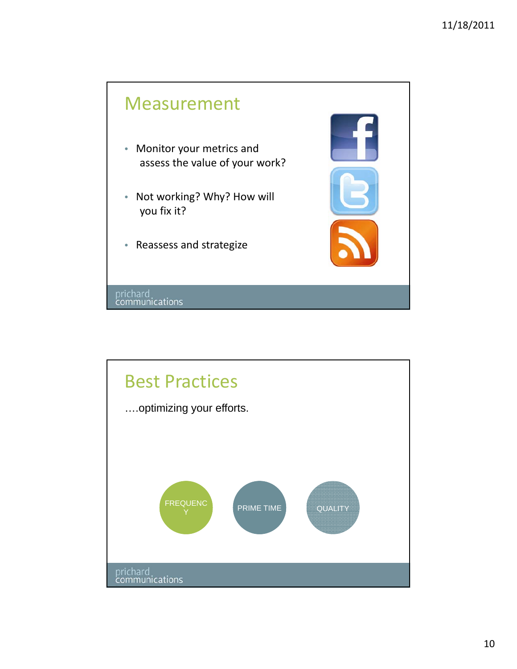#### Measurement

- Monitor your metrics and assess the value of your work?
- Not working? Why? How will you fix it?
- Reassess and strategize

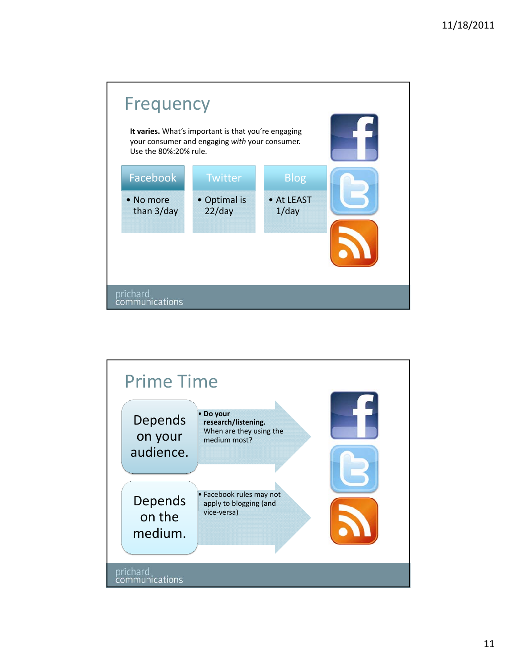

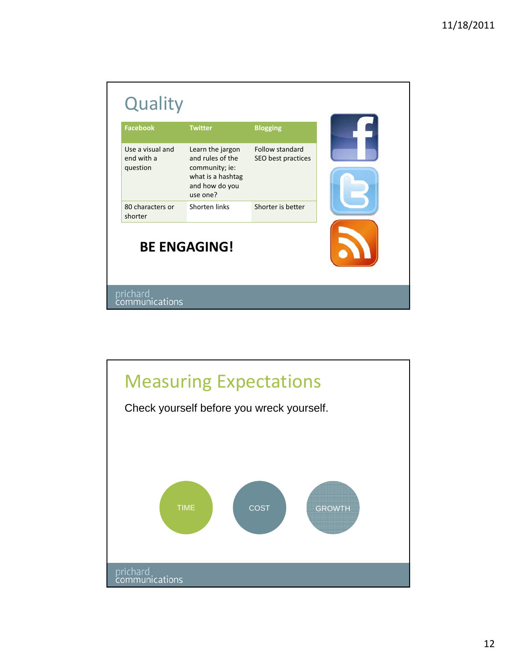| Facebook                                   | <b>Twitter</b>                                                                                            | <b>Blogging</b>                       |  |
|--------------------------------------------|-----------------------------------------------------------------------------------------------------------|---------------------------------------|--|
| Use a visual and<br>end with a<br>question | Learn the jargon<br>and rules of the<br>community; ie:<br>what is a hashtag<br>and how do you<br>use one? | Follow standard<br>SEO best practices |  |
| 80 characters or<br>shorter                | Shorten links                                                                                             | Shorter is better                     |  |
|                                            | <b>BE ENGAGING!</b>                                                                                       |                                       |  |

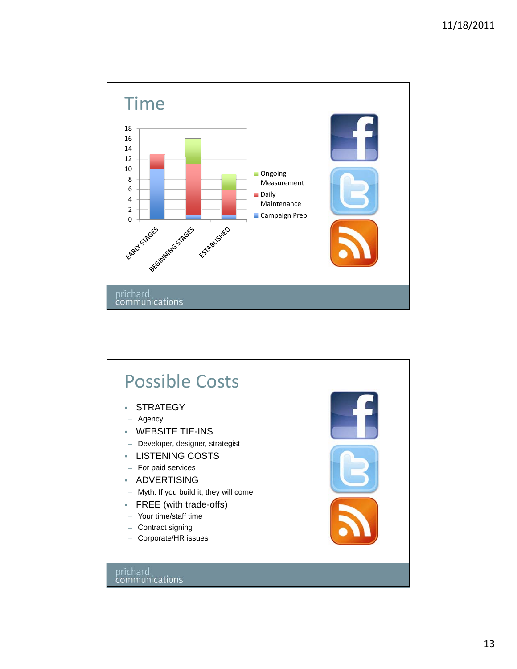

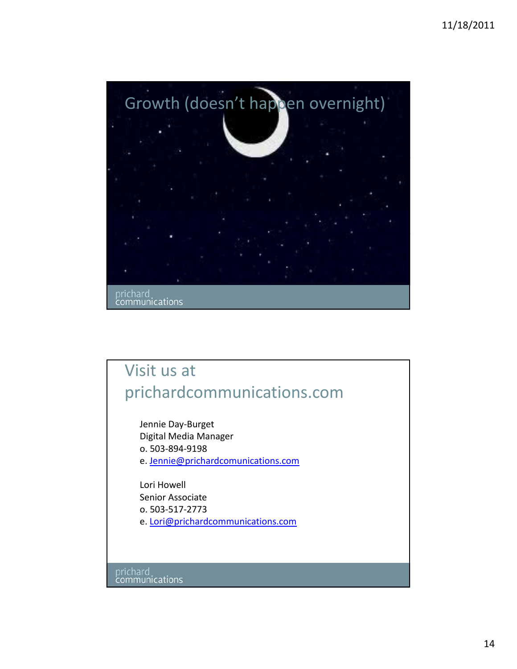

#### Visit us at prichardcommunications.com

Jennie Day‐Burget Digital Media Manager o. 503‐894‐9198 e. Jennie@prichardcomunications.com

Lori Howell Senior Associate o. 503‐517‐2773 e. Lori@prichardcommunications.com